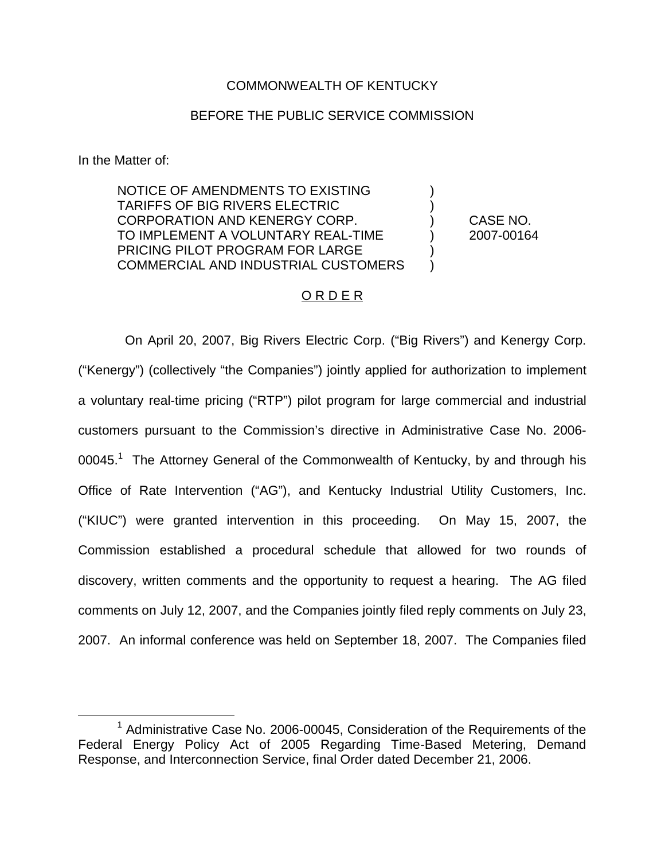# COMMONWEALTH OF KENTUCKY

### BEFORE THE PUBLIC SERVICE COMMISSION

In the Matter of:

NOTICE OF AMENDMENTS TO EXISTING ) TARIFFS OF BIG RIVERS ELECTRIC ) CORPORATION AND KENERGY CORP. ) CASE NO. TO IMPLEMENT A VOLUNTARY REAL-TIME ) 2007-00164 PRICING PILOT PROGRAM FOR LARGE COMMERCIAL AND INDUSTRIAL CUSTOMERS

## O R D E R

On April 20, 2007, Big Rivers Electric Corp. ("Big Rivers") and Kenergy Corp. ("Kenergy") (collectively "the Companies") jointly applied for authorization to implement a voluntary real-time pricing ("RTP") pilot program for large commercial and industrial customers pursuant to the Commission's directive in Administrative Case No. 2006- 00045.<sup>1</sup> The Attorney General of the Commonwealth of Kentucky, by and through his Office of Rate Intervention ("AG"), and Kentucky Industrial Utility Customers, Inc. ("KIUC") were granted intervention in this proceeding. On May 15, 2007, the Commission established a procedural schedule that allowed for two rounds of discovery, written comments and the opportunity to request a hearing. The AG filed comments on July 12, 2007, and the Companies jointly filed reply comments on July 23, 2007. An informal conference was held on September 18, 2007. The Companies filed

 $1$  Administrative Case No. 2006-00045, Consideration of the Requirements of the Federal Energy Policy Act of 2005 Regarding Time-Based Metering, Demand Response, and Interconnection Service, final Order dated December 21, 2006.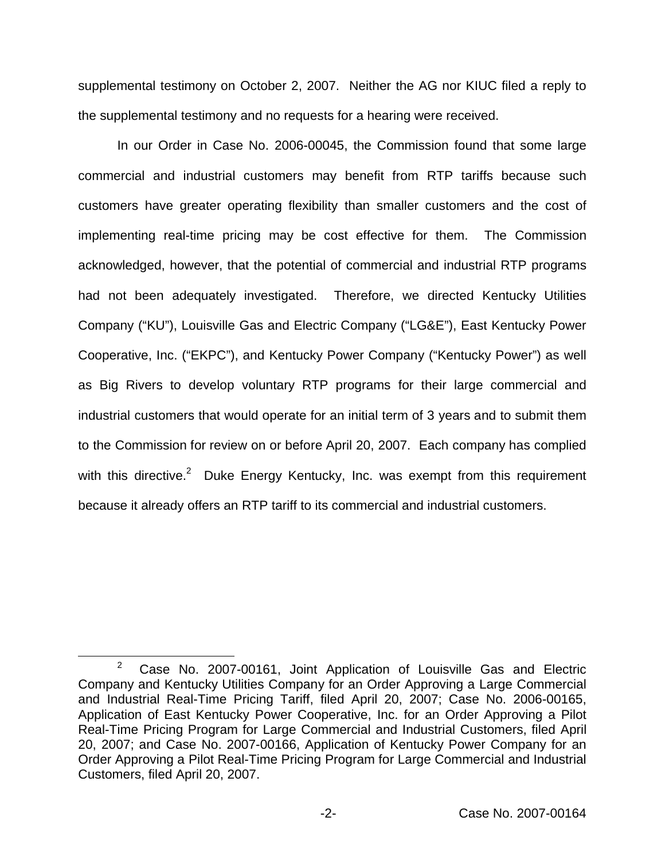supplemental testimony on October 2, 2007. Neither the AG nor KIUC filed a reply to the supplemental testimony and no requests for a hearing were received.

In our Order in Case No. 2006-00045, the Commission found that some large commercial and industrial customers may benefit from RTP tariffs because such customers have greater operating flexibility than smaller customers and the cost of implementing real-time pricing may be cost effective for them. The Commission acknowledged, however, that the potential of commercial and industrial RTP programs had not been adequately investigated. Therefore, we directed Kentucky Utilities Company ("KU"), Louisville Gas and Electric Company ("LG&E"), East Kentucky Power Cooperative, Inc. ("EKPC"), and Kentucky Power Company ("Kentucky Power") as well as Big Rivers to develop voluntary RTP programs for their large commercial and industrial customers that would operate for an initial term of 3 years and to submit them to the Commission for review on or before April 20, 2007. Each company has complied with this directive.<sup>2</sup> Duke Energy Kentucky, Inc. was exempt from this requirement because it already offers an RTP tariff to its commercial and industrial customers.

<sup>2</sup> Case No. 2007-00161, Joint Application of Louisville Gas and Electric Company and Kentucky Utilities Company for an Order Approving a Large Commercial and Industrial Real-Time Pricing Tariff, filed April 20, 2007; Case No. 2006-00165, Application of East Kentucky Power Cooperative, Inc. for an Order Approving a Pilot Real-Time Pricing Program for Large Commercial and Industrial Customers, filed April 20, 2007; and Case No. 2007-00166, Application of Kentucky Power Company for an Order Approving a Pilot Real-Time Pricing Program for Large Commercial and Industrial Customers, filed April 20, 2007.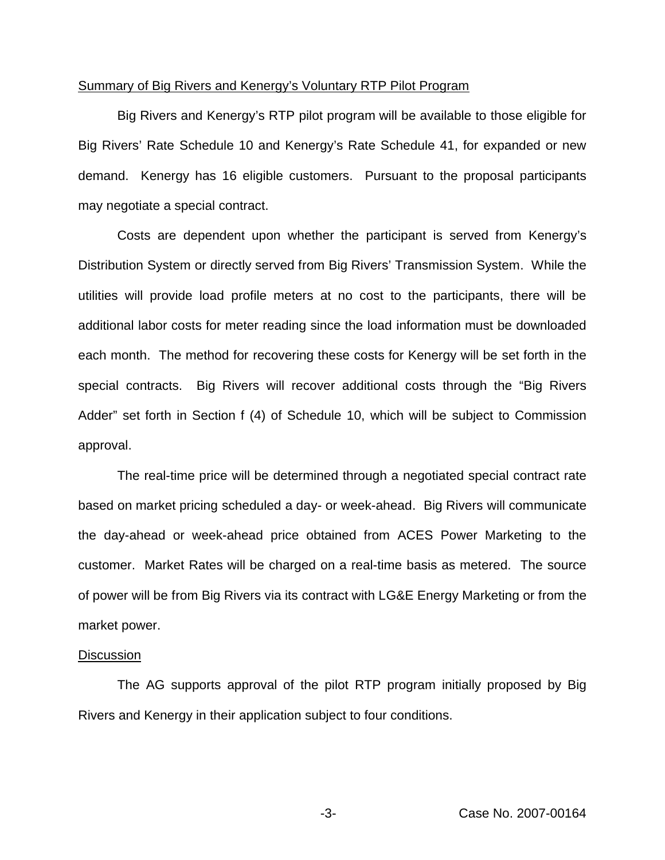#### Summary of Big Rivers and Kenergy's Voluntary RTP Pilot Program

Big Rivers and Kenergy's RTP pilot program will be available to those eligible for Big Rivers' Rate Schedule 10 and Kenergy's Rate Schedule 41, for expanded or new demand. Kenergy has 16 eligible customers. Pursuant to the proposal participants may negotiate a special contract.

Costs are dependent upon whether the participant is served from Kenergy's Distribution System or directly served from Big Rivers' Transmission System. While the utilities will provide load profile meters at no cost to the participants, there will be additional labor costs for meter reading since the load information must be downloaded each month. The method for recovering these costs for Kenergy will be set forth in the special contracts. Big Rivers will recover additional costs through the "Big Rivers Adder" set forth in Section f (4) of Schedule 10, which will be subject to Commission approval.

The real-time price will be determined through a negotiated special contract rate based on market pricing scheduled a day- or week-ahead. Big Rivers will communicate the day-ahead or week-ahead price obtained from ACES Power Marketing to the customer. Market Rates will be charged on a real-time basis as metered. The source of power will be from Big Rivers via its contract with LG&E Energy Marketing or from the market power.

#### **Discussion**

The AG supports approval of the pilot RTP program initially proposed by Big Rivers and Kenergy in their application subject to four conditions.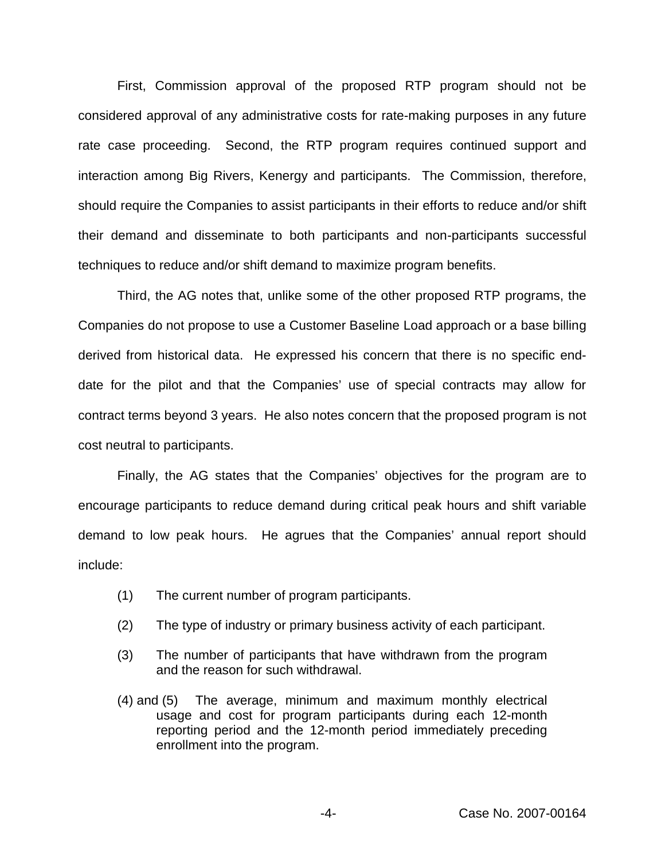First, Commission approval of the proposed RTP program should not be considered approval of any administrative costs for rate-making purposes in any future rate case proceeding. Second, the RTP program requires continued support and interaction among Big Rivers, Kenergy and participants. The Commission, therefore, should require the Companies to assist participants in their efforts to reduce and/or shift their demand and disseminate to both participants and non-participants successful techniques to reduce and/or shift demand to maximize program benefits.

Third, the AG notes that, unlike some of the other proposed RTP programs, the Companies do not propose to use a Customer Baseline Load approach or a base billing derived from historical data. He expressed his concern that there is no specific enddate for the pilot and that the Companies' use of special contracts may allow for contract terms beyond 3 years. He also notes concern that the proposed program is not cost neutral to participants.

Finally, the AG states that the Companies' objectives for the program are to encourage participants to reduce demand during critical peak hours and shift variable demand to low peak hours. He agrues that the Companies' annual report should include:

- (1) The current number of program participants.
- (2) The type of industry or primary business activity of each participant.
- (3) The number of participants that have withdrawn from the program and the reason for such withdrawal.
- (4) and (5) The average, minimum and maximum monthly electrical usage and cost for program participants during each 12-month reporting period and the 12-month period immediately preceding enrollment into the program.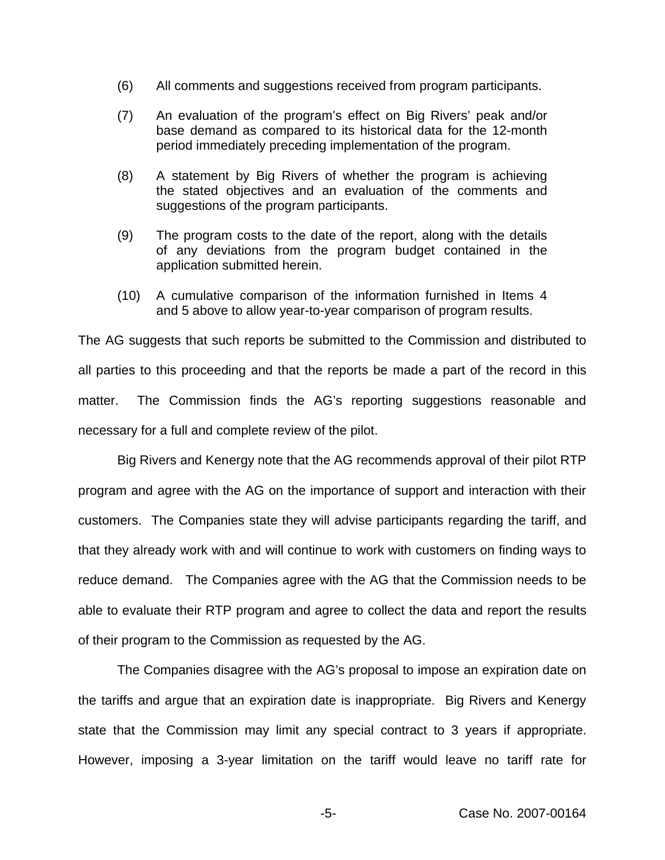- (6) All comments and suggestions received from program participants.
- (7) An evaluation of the program's effect on Big Rivers' peak and/or base demand as compared to its historical data for the 12-month period immediately preceding implementation of the program.
- (8) A statement by Big Rivers of whether the program is achieving the stated objectives and an evaluation of the comments and suggestions of the program participants.
- (9) The program costs to the date of the report, along with the details of any deviations from the program budget contained in the application submitted herein.
- (10) A cumulative comparison of the information furnished in Items 4 and 5 above to allow year-to-year comparison of program results.

The AG suggests that such reports be submitted to the Commission and distributed to all parties to this proceeding and that the reports be made a part of the record in this matter. The Commission finds the AG's reporting suggestions reasonable and necessary for a full and complete review of the pilot.

Big Rivers and Kenergy note that the AG recommends approval of their pilot RTP program and agree with the AG on the importance of support and interaction with their customers. The Companies state they will advise participants regarding the tariff, and that they already work with and will continue to work with customers on finding ways to reduce demand. The Companies agree with the AG that the Commission needs to be able to evaluate their RTP program and agree to collect the data and report the results of their program to the Commission as requested by the AG.

The Companies disagree with the AG's proposal to impose an expiration date on the tariffs and argue that an expiration date is inappropriate. Big Rivers and Kenergy state that the Commission may limit any special contract to 3 years if appropriate. However, imposing a 3-year limitation on the tariff would leave no tariff rate for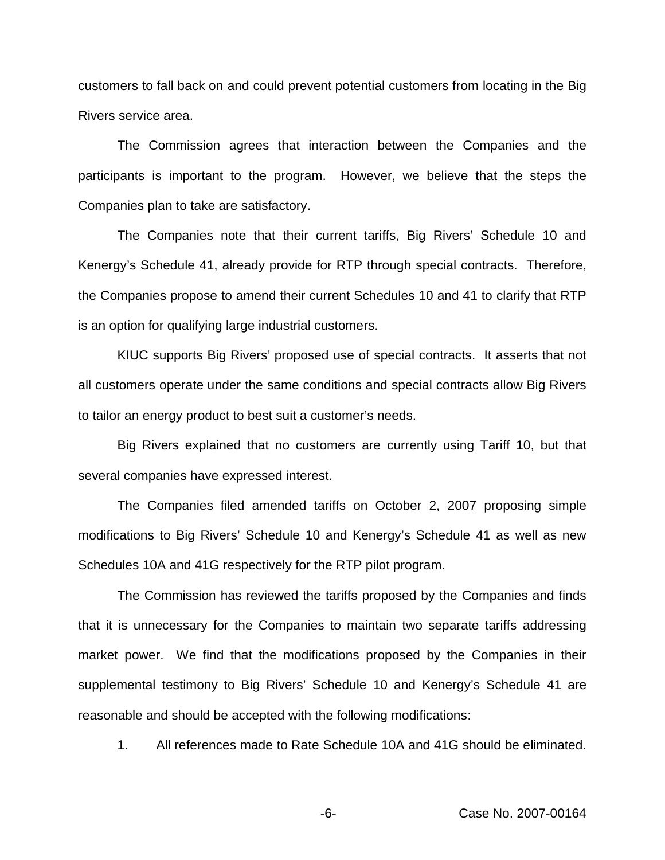customers to fall back on and could prevent potential customers from locating in the Big Rivers service area.

The Commission agrees that interaction between the Companies and the participants is important to the program. However, we believe that the steps the Companies plan to take are satisfactory.

The Companies note that their current tariffs, Big Rivers' Schedule 10 and Kenergy's Schedule 41, already provide for RTP through special contracts. Therefore, the Companies propose to amend their current Schedules 10 and 41 to clarify that RTP is an option for qualifying large industrial customers.

KIUC supports Big Rivers' proposed use of special contracts. It asserts that not all customers operate under the same conditions and special contracts allow Big Rivers to tailor an energy product to best suit a customer's needs.

Big Rivers explained that no customers are currently using Tariff 10, but that several companies have expressed interest.

The Companies filed amended tariffs on October 2, 2007 proposing simple modifications to Big Rivers' Schedule 10 and Kenergy's Schedule 41 as well as new Schedules 10A and 41G respectively for the RTP pilot program.

The Commission has reviewed the tariffs proposed by the Companies and finds that it is unnecessary for the Companies to maintain two separate tariffs addressing market power. We find that the modifications proposed by the Companies in their supplemental testimony to Big Rivers' Schedule 10 and Kenergy's Schedule 41 are reasonable and should be accepted with the following modifications:

1. All references made to Rate Schedule 10A and 41G should be eliminated.

-6- Case No. 2007-00164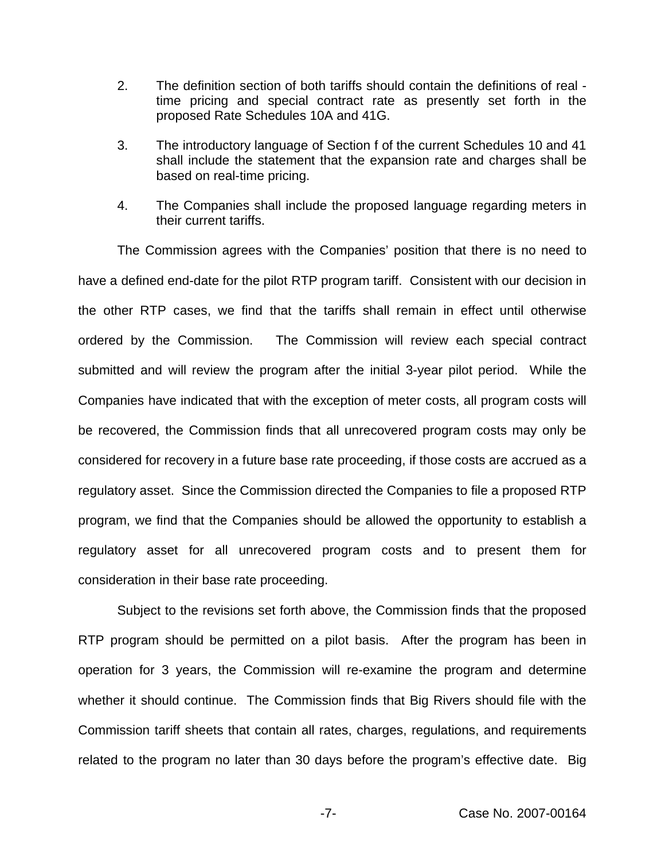- 2. The definition section of both tariffs should contain the definitions of real time pricing and special contract rate as presently set forth in the proposed Rate Schedules 10A and 41G.
- 3. The introductory language of Section f of the current Schedules 10 and 41 shall include the statement that the expansion rate and charges shall be based on real-time pricing.
- 4. The Companies shall include the proposed language regarding meters in their current tariffs.

The Commission agrees with the Companies' position that there is no need to have a defined end-date for the pilot RTP program tariff. Consistent with our decision in the other RTP cases, we find that the tariffs shall remain in effect until otherwise ordered by the Commission. The Commission will review each special contract submitted and will review the program after the initial 3-year pilot period. While the Companies have indicated that with the exception of meter costs, all program costs will be recovered, the Commission finds that all unrecovered program costs may only be considered for recovery in a future base rate proceeding, if those costs are accrued as a regulatory asset. Since the Commission directed the Companies to file a proposed RTP program, we find that the Companies should be allowed the opportunity to establish a regulatory asset for all unrecovered program costs and to present them for consideration in their base rate proceeding.

Subject to the revisions set forth above, the Commission finds that the proposed RTP program should be permitted on a pilot basis. After the program has been in operation for 3 years, the Commission will re-examine the program and determine whether it should continue. The Commission finds that Big Rivers should file with the Commission tariff sheets that contain all rates, charges, regulations, and requirements related to the program no later than 30 days before the program's effective date. Big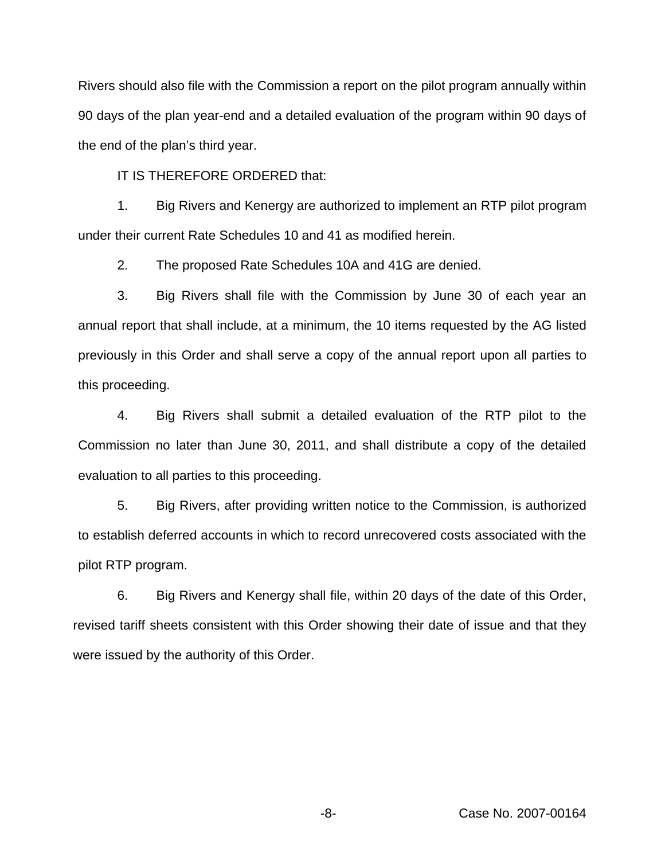Rivers should also file with the Commission a report on the pilot program annually within 90 days of the plan year-end and a detailed evaluation of the program within 90 days of the end of the plan's third year.

IT IS THEREFORE ORDERED that:

1. Big Rivers and Kenergy are authorized to implement an RTP pilot program under their current Rate Schedules 10 and 41 as modified herein.

2. The proposed Rate Schedules 10A and 41G are denied.

3. Big Rivers shall file with the Commission by June 30 of each year an annual report that shall include, at a minimum, the 10 items requested by the AG listed previously in this Order and shall serve a copy of the annual report upon all parties to this proceeding.

4. Big Rivers shall submit a detailed evaluation of the RTP pilot to the Commission no later than June 30, 2011, and shall distribute a copy of the detailed evaluation to all parties to this proceeding.

5. Big Rivers, after providing written notice to the Commission, is authorized to establish deferred accounts in which to record unrecovered costs associated with the pilot RTP program.

6. Big Rivers and Kenergy shall file, within 20 days of the date of this Order, revised tariff sheets consistent with this Order showing their date of issue and that they were issued by the authority of this Order.